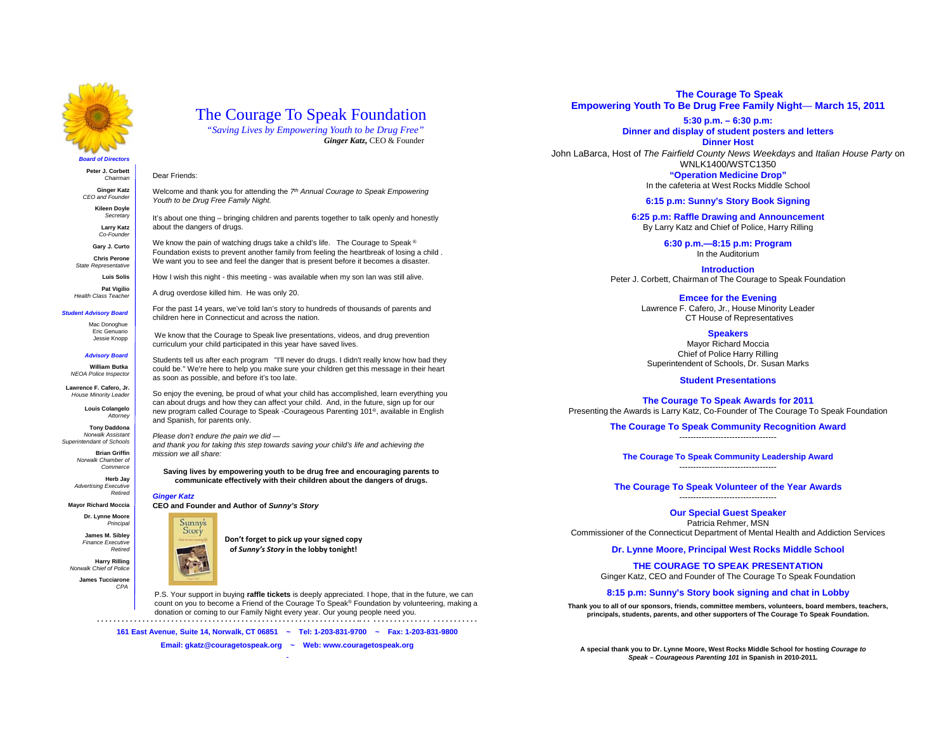

## The Courage To Speak Foundation

Welcome and thank you for attending the *7th Annual Courage to Speak Empowering* 

It's about one thing – bringing children and parents together to talk openly and honestly

We know the pain of watching drugs take a child's life. The Courage to Speak ® Foundation exists to prevent another family from feeling the heartbreak of losing a child . We want you to see and feel the danger that is present before it becomes a disaster. How I wish this night - this meeting - was available when my son Ian was still alive.

*"Saving Lives by Empowering Youth to be Drug Free" Ginger Katz,* CEO & Founder

### **Peter J. Corbett**

*Chairman* 

**Ginger Katz** *CEO and Founder* **Kileen Doyle**

> *Secretar*y **Larry Katz**

*Co-Founder* **Gary J. Curto**

**Chris Perone** 

 *State Representative*  **Luis Solis**

**Pat Vigilio Health Class Teacher** 

*Student Advisory Board* 

For the past 14 years, we've told Ian's story to hundreds of thousands of parents and children here in Connecticut and across the nation.

Mac Donoghue Eric Genuario Jessie Knopp *Advisory Board* 

**William Butka**  *NEOA Police Inspector*  **Lawrence F. Cafero, Jr.** *House Minority Leader*  **Louis Colangelo** *Attorney*  **Tony Daddona** *Norwalk Assistant Superintendant of Schools*  **Brian Griffin Norwalk Chamber of** *Commerce* **Herb Jay** *Advertising Executive* 

 We know that the Courage to Speak live presentations, videos, and drug prevention curriculum your child participated in this year have saved lives.

Students tell us after each program "I'll never do drugs. I didn't really know how bad they could be." We're here to help you make sure your children get this message in their heart as soon as possible, and before it's too late.

So enjoy the evening, be proud of what your child has accomplished, learn everything you can about drugs and how they can affect your child. And, in the future, sign up for our new program called Courage to Speak -Courageous Parenting 101®, available in English

*and thank you for taking this step towards saving your child's life and achieving the mission we all share:* 

**Saving lives by empowering youth to be drug free and encouraging parents to communicate effectively with their children about the dangers of drugs.** 

*Ginger Katz Retired* 

**Mayor Richard Moccia Dr. Lynne Moore**

*Principal*  **James M. Sibley** *Finance Executive Retired* 

**Harry Rilling** *Norwalk Chief of Police* 

**James Tucciarone** *CPA* 

**The Courage To Speak Empowering Youth To Be Drug Free Family Night**— **March 15, 2011**

**5:30 p.m. – 6:30 p.m:**

#### **Dinner and display of student posters and letters Dinner Host**

John LaBarca, Host of *The Fairfield County News Weekdays* and *Italian House Party* on WNLK1400/WSTC1350 **"Operation Medicine Drop"**

In the cafeteria at West Rocks Middle School

#### **6:15 p.m: Sunny's Story Book Signing**

**6:25 p.m: Raffle Drawing and Announcement** By Larry Katz and Chief of Police, Harry Rilling

> **6:30 p.m.—8:15 p.m: Program** In the Auditorium

**Introduction**Peter J. Corbett, Chairman of The Courage to Speak Foundation

**Emcee for the Evening**

Lawrence F. Cafero, Jr., House Minority Leader CT House of Representatives

**Speakers**

Mayor Richard Moccia Chief of Police Harry Rilling Superintendent of Schools, Dr. Susan Marks

#### **Student Presentations**

**The Courage To Speak Awards for 2011** Presenting the Awards is Larry Katz, Co-Founder of The Courage To Speak Foundation

> **The Courage To Speak Community Recognition Award** -----------------------------------

**The Courage To Speak Community Leadership Award**

-----------------------------------

**The Courage To Speak Volunteer of the Year Awards** -----------------------------------

**Our Special Guest Speaker**

Patricia Rehmer, MSN Commissioner of the Connecticut Department of Mental Health and Addiction Services

**Dr. Lynne Moore, Principal West Rocks Middle School**

**THE COURAGE TO SPEAK PRESENTATION**Ginger Katz, CEO and Founder of The Courage To Speak Foundation

**8:15 p.m: Sunny's Story book signing and chat in Lobby**

**Thank you to all of our sponsors, friends, committee members, volunteers, board members, teachers, principals, students, parents, and other supporters of The Courage To Speak Foundation.**

**A special thank you to Dr. Lynne Moore, West Rocks Middle School for hosting** *Courage to Speak – Courageous Parenting 101* **in Spanish in 2010-2011***.* 



**Don't forget to pick up your signed copy**

**of** *Sunny's Story* **in the lobby tonight!**

*. . . . . . . . . . . . . . . . . . . . . . . . . . . . . . . . . . . . . . . . . . . . . . . . . . . . . . . . . . . . . . . .. . . . . . . . . . . . . . . . . . . . . . . . . . . .* P.S. Your support in buying **raffle tickets** is deeply appreciated. I hope, that in the future, we can count on you to become a Friend of the Courage To Speak® Foundation by volunteering, making a donation or coming to our Family Night every year. Our young people need you.

**161 East Avenue, Suite 14, Norwalk, CT 06851 ~ Tel: 1-203-831-9700 ~ Fax: 1-203-831-9800**

**Email: gkatz@couragetospeak.org ~ Web: www.couragetospeak.org**

Dear Friends:

*Youth to be Drug Free Family Night.* 

about the dangers of drugs.

and Spanish, for parents only.

A drug overdose killed him. He was only 20.

*Please don't endure the pain we did —*